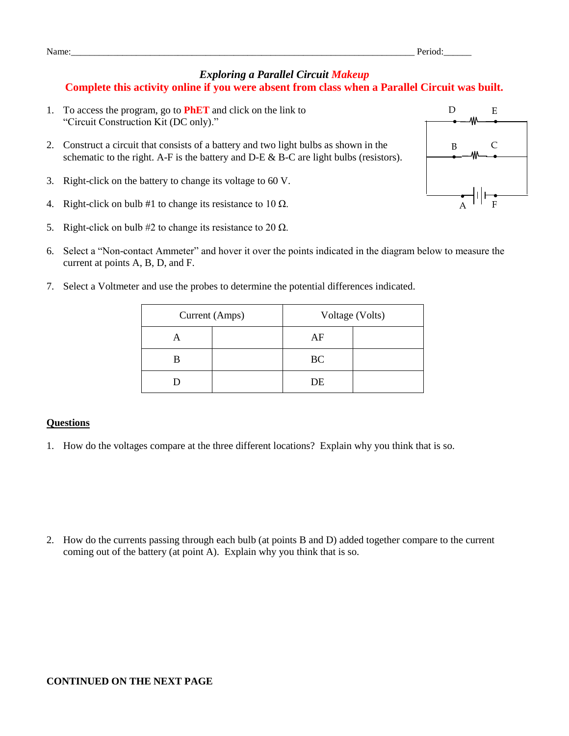## *Exploring a Parallel Circuit Makeup* **Complete this activity online if you were absent from class when a Parallel Circuit was built.**

- 1. To access the program, go to **PhET** and click on the link to "Circuit Construction Kit (DC only)."
- 2. Construct a circuit that consists of a battery and two light bulbs as shown in the schematic to the right. A-F is the battery and  $D-E \& B-C$  are light bulbs (resistors).
- 3. Right-click on the battery to change its voltage to 60 V.
- 4. Right-click on bulb #1 to change its resistance to 10  $\Omega$ .
- 5. Right-click on bulb #2 to change its resistance to 20  $\Omega$ .
- 6. Select a "Non-contact Ammeter" and hover it over the points indicated in the diagram below to measure the current at points A, B, D, and F.
- 7. Select a Voltmeter and use the probes to determine the potential differences indicated.

| Current (Amps) |  | Voltage (Volts) |  |
|----------------|--|-----------------|--|
|                |  | AF              |  |
|                |  | <b>BC</b>       |  |
|                |  | DE              |  |

## **Questions**

1. How do the voltages compare at the three different locations? Explain why you think that is so.

2. How do the currents passing through each bulb (at points B and D) added together compare to the current coming out of the battery (at point A). Explain why you think that is so.



Name:\_\_\_\_\_\_\_\_\_\_\_\_\_\_\_\_\_\_\_\_\_\_\_\_\_\_\_\_\_\_\_\_\_\_\_\_\_\_\_\_\_\_\_\_\_\_\_\_\_\_\_\_\_\_\_\_\_\_\_\_\_\_\_\_\_\_\_\_\_\_\_\_\_\_ Period:\_\_\_\_\_\_